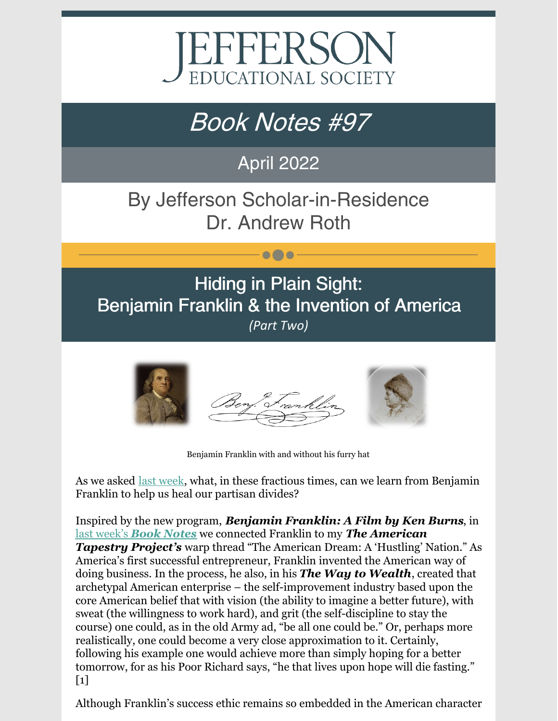

# Book Notes #97

### April 2022

# By Jefferson Scholar-in-Residence Dr. Andrew Roth

 $\bullet\bullet\bullet$ 

### Hiding in Plain Sight: Benjamin Franklin & the Invention of America *(Part Two)*



Benjamin Franklin with and without his furry hat

As we asked last [week](https://www.jeserie.org/uploads/Book Notes 96 Hiding in Plain Sight Benjamin Franklin  the Invention.pdf), what, in these fractious times, can we learn from Benjamin Franklin to help us heal our partisan divides?

Inspired by the new program, *Benjamin Franklin: A Film by Ken Burns*, in last [week's](https://www.jeserie.org/uploads/Book Notes 96 Hiding in Plain Sight Benjamin Franklin  the Invention.pdf) *Book [Notes](https://www.jeserie.org/uploads/Book Notes 96 Hiding in Plain Sight Benjamin Franklin  the Invention.pdf)* we connected Franklin to my *The American Tapestry Project's* warp thread "The American Dream: A 'Hustling' Nation." As America's first successful entrepreneur, Franklin invented the American way of doing business. In the process, he also, in his *The Way to Wealth*, created that archetypal American enterprise – the self-improvement industry based upon the core American belief that with vision (the ability to imagine a better future), with sweat (the willingness to work hard), and grit (the self-discipline to stay the course) one could, as in the old Army ad, "be all one could be." Or, perhaps more realistically, one could become a very close approximation to it. Certainly, following his example one would achieve more than simply hoping for a better tomorrow, for as his Poor Richard says, "he that lives upon hope will die fasting."  $\lceil 1 \rceil$ 

Although Franklin's success ethic remains so embedded in the American character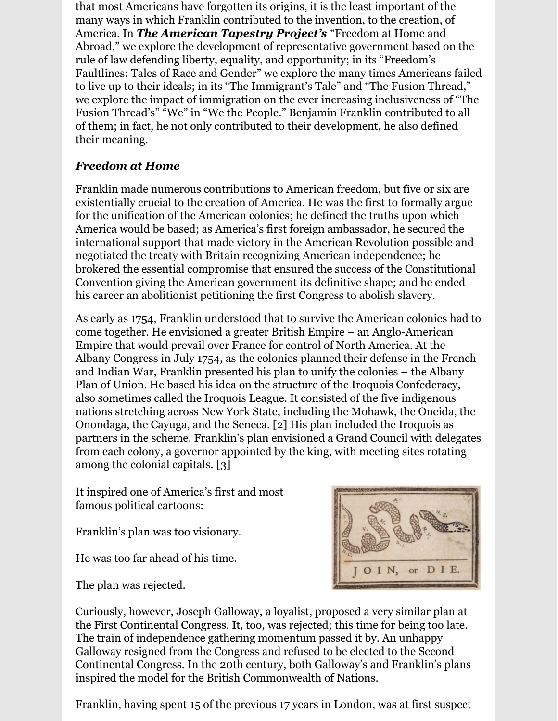that most Americans have forgotten its origins, it is the least important of the many ways in which Franklin contributed to the invention, to the creation, of America. In *The American Tapestry Project's* "Freedom at Home and Abroad," we explore the development of representative government based on the rule of law defending liberty, equality, and opportunity; in its "Freedom's Faultlines: Tales of Race and Gender" we explore the many times Americans failed to live up to their ideals; in its "The Immigrant's Tale" and "The Fusion Thread," we explore the impact of immigration on the ever increasing inclusiveness of "The Fusion Thread's" "We" in "We the People." Benjamin Franklin contributed to all of them; in fact, he not only contributed to their development, he also defined their meaning.

#### *Freedom at Home*

Franklin made numerous contributions to American freedom, but five or six are existentially crucial to the creation of America. He was the first to formally argue for the unification of the American colonies; he defined the truths upon which America would be based; as America's first foreign ambassador, he secured the international support that made victory in the American Revolution possible and negotiated the treaty with Britain recognizing American independence; he brokered the essential compromise that ensured the success of the Constitutional Convention giving the American government its definitive shape; and he ended his career an abolitionist petitioning the first Congress to abolish slavery.

As early as 1754, Franklin understood that to survive the American colonies had to come together. He envisioned a greater British Empire – an Anglo-American Empire that would prevail over France for control of North America. At the Albany Congress in July 1754, as the colonies planned their defense in the French and Indian War, Franklin presented his plan to unify the colonies – the Albany Plan of Union. He based his idea on the structure of the Iroquois Confederacy, also sometimes called the Iroquois League. It consisted of the five indigenous nations stretching across New York State, including the Mohawk, the Oneida, the Onondaga, the Cayuga, and the Seneca. [2] His plan included the Iroquois as partners in the scheme. Franklin's plan envisioned a Grand Council with delegates from each colony, a governor appointed by the king, with meeting sites rotating among the colonial capitals. [3]

It inspired one of America's first and most famous political cartoons:

Franklin's plan was too visionary.

He was too far ahead of his time.

The plan was rejected.



Curiously, however, Joseph Galloway, a loyalist, proposed a very similar plan at the First Continental Congress. It, too, was rejected; this time for being too late. The train of independence gathering momentum passed it by. An unhappy Galloway resigned from the Congress and refused to be elected to the Second Continental Congress. In the 20th century, both Galloway's and Franklin's plans inspired the model for the British Commonwealth of Nations.

Franklin, having spent 15 of the previous 17 years in London, was at first suspect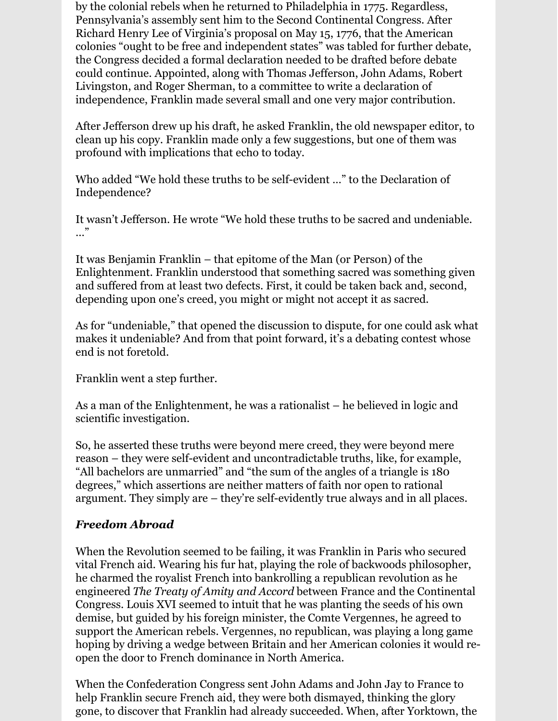by the colonial rebels when he returned to Philadelphia in 1775. Regardless, Pennsylvania's assembly sent him to the Second Continental Congress. After Richard Henry Lee of Virginia's proposal on May 15, 1776, that the American colonies "ought to be free and independent states" was tabled for further debate, the Congress decided a formal declaration needed to be drafted before debate could continue. Appointed, along with Thomas Jefferson, John Adams, Robert Livingston, and Roger Sherman, to a committee to write a declaration of independence, Franklin made several small and one very major contribution.

After Jefferson drew up his draft, he asked Franklin, the old newspaper editor, to clean up his copy. Franklin made only a few suggestions, but one of them was profound with implications that echo to today.

Who added "We hold these truths to be self-evident …" to the Declaration of Independence?

It wasn't Jefferson. He wrote "We hold these truths to be sacred and undeniable. …"

It was Benjamin Franklin – that epitome of the Man (or Person) of the Enlightenment. Franklin understood that something sacred was something given and suffered from at least two defects. First, it could be taken back and, second, depending upon one's creed, you might or might not accept it as sacred.

As for "undeniable," that opened the discussion to dispute, for one could ask what makes it undeniable? And from that point forward, it's a debating contest whose end is not foretold.

Franklin went a step further.

As a man of the Enlightenment, he was a rationalist – he believed in logic and scientific investigation.

So, he asserted these truths were beyond mere creed, they were beyond mere reason – they were self-evident and uncontradictable truths, like, for example, "All bachelors are unmarried" and "the sum of the angles of a triangle is 180 degrees," which assertions are neither matters of faith nor open to rational argument. They simply are – they're self-evidently true always and in all places.

### *Freedom Abroad*

When the Revolution seemed to be failing, it was Franklin in Paris who secured vital French aid. Wearing his fur hat, playing the role of backwoods philosopher, he charmed the royalist French into bankrolling a republican revolution as he engineered *The Treaty of Amity and Accord* between France and the Continental Congress. Louis XVI seemed to intuit that he was planting the seeds of his own demise, but guided by his foreign minister, the Comte Vergennes, he agreed to support the American rebels. Vergennes, no republican, was playing a long game hoping by driving a wedge between Britain and her American colonies it would reopen the door to French dominance in North America.

When the Confederation Congress sent John Adams and John Jay to France to help Franklin secure French aid, they were both dismayed, thinking the glory gone, to discover that Franklin had already succeeded. When, after Yorktown, the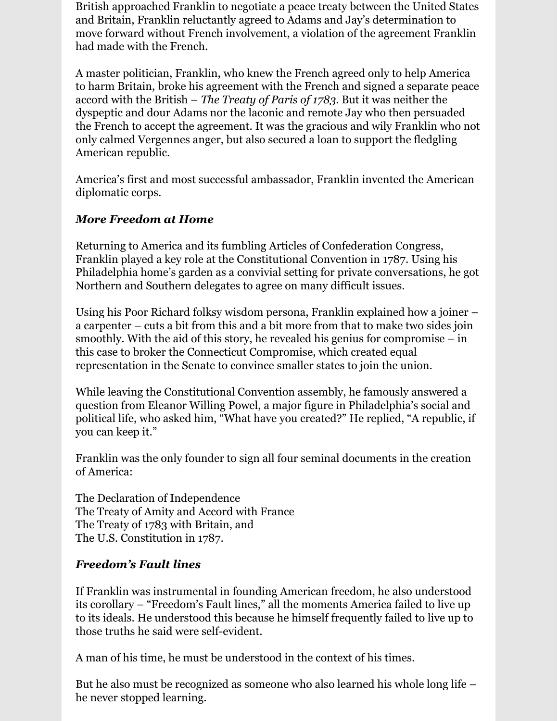British approached Franklin to negotiate a peace treaty between the United States and Britain, Franklin reluctantly agreed to Adams and Jay's determination to move forward without French involvement, a violation of the agreement Franklin had made with the French.

A master politician, Franklin, who knew the French agreed only to help America to harm Britain, broke his agreement with the French and signed a separate peace accord with the British – *The Treaty of Paris of 1783*. But it was neither the dyspeptic and dour Adams nor the laconic and remote Jay who then persuaded the French to accept the agreement. It was the gracious and wily Franklin who not only calmed Vergennes anger, but also secured a loan to support the fledgling American republic.

America's first and most successful ambassador, Franklin invented the American diplomatic corps.

#### *More Freedom at Home*

Returning to America and its fumbling Articles of Confederation Congress, Franklin played a key role at the Constitutional Convention in 1787. Using his Philadelphia home's garden as a convivial setting for private conversations, he got Northern and Southern delegates to agree on many difficult issues.

Using his Poor Richard folksy wisdom persona, Franklin explained how a joiner – a carpenter – cuts a bit from this and a bit more from that to make two sides join smoothly. With the aid of this story, he revealed his genius for compromise – in this case to broker the Connecticut Compromise, which created equal representation in the Senate to convince smaller states to join the union.

While leaving the Constitutional Convention assembly, he famously answered a question from Eleanor Willing Powel, a major figure in Philadelphia's social and political life, who asked him, "What have you created?" He replied, "A republic, if you can keep it."

Franklin was the only founder to sign all four seminal documents in the creation of America:

The Declaration of Independence The Treaty of Amity and Accord with France The Treaty of 1783 with Britain, and The U.S. Constitution in 1787.

#### *Freedom's Fault lines*

If Franklin was instrumental in founding American freedom, he also understood its corollary – "Freedom's Fault lines," all the moments America failed to live up to its ideals. He understood this because he himself frequently failed to live up to those truths he said were self-evident.

A man of his time, he must be understood in the context of his times.

But he also must be recognized as someone who also learned his whole long life – he never stopped learning.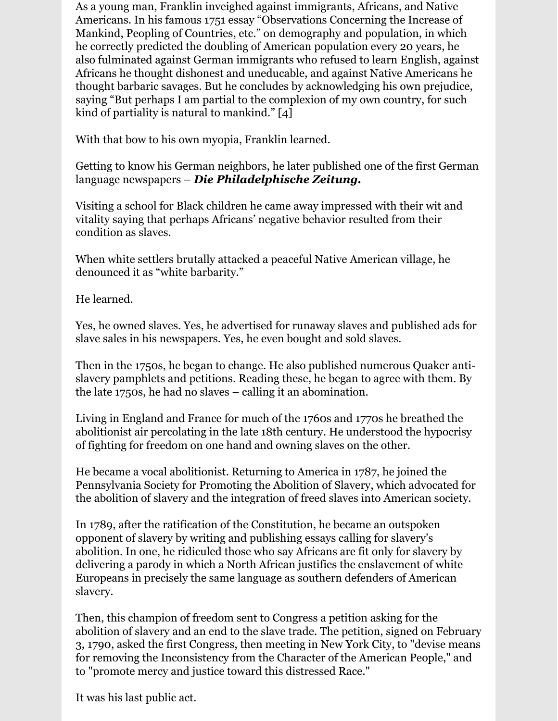As a young man, Franklin inveighed against immigrants, Africans, and Native Americans. In his famous 1751 essay "Observations Concerning the Increase of Mankind, Peopling of Countries, etc." on demography and population, in which he correctly predicted the doubling of American population every 20 years, he also fulminated against German immigrants who refused to learn English, against Africans he thought dishonest and uneducable, and against Native Americans he thought barbaric savages. But he concludes by acknowledging his own prejudice, saying "But perhaps I am partial to the complexion of my own country, for such kind of partiality is natural to mankind." [4]

With that bow to his own myopia, Franklin learned.

Getting to know his German neighbors, he later published one of the first German language newspapers – *Die Philadelphische Zeitung.*

Visiting a school for Black children he came away impressed with their wit and vitality saying that perhaps Africans' negative behavior resulted from their condition as slaves.

When white settlers brutally attacked a peaceful Native American village, he denounced it as "white barbarity."

He learned.

Yes, he owned slaves. Yes, he advertised for runaway slaves and published ads for slave sales in his newspapers. Yes, he even bought and sold slaves.

Then in the 1750s, he began to change. He also published numerous Quaker antislavery pamphlets and petitions. Reading these, he began to agree with them. By the late 1750s, he had no slaves – calling it an abomination.

Living in England and France for much of the 1760s and 1770s he breathed the abolitionist air percolating in the late 18th century. He understood the hypocrisy of fighting for freedom on one hand and owning slaves on the other.

He became a vocal abolitionist. Returning to America in 1787, he joined the Pennsylvania Society for Promoting the Abolition of Slavery, which advocated for the abolition of slavery and the integration of freed slaves into American society.

In 1789, after the ratification of the Constitution, he became an outspoken opponent of slavery by writing and publishing essays calling for slavery's abolition. In one, he ridiculed those who say Africans are fit only for slavery by delivering a parody in which a North African justifies the enslavement of white Europeans in precisely the same language as southern defenders of American slavery.

Then, this champion of freedom sent to Congress a petition asking for the abolition of slavery and an end to the slave trade. The petition, signed on February 3, 1790, asked the first Congress, then meeting in New York City, to "devise means for removing the Inconsistency from the Character of the American People," and to "promote mercy and justice toward this distressed Race."

It was his last public act.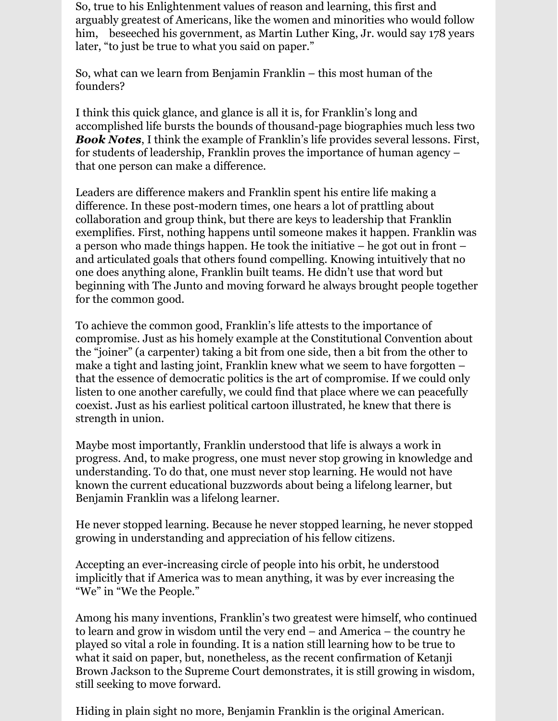So, true to his Enlightenment values of reason and learning, this first and arguably greatest of Americans, like the women and minorities who would follow him, beseeched his government, as Martin Luther King, Jr. would say 178 years later, "to just be true to what you said on paper."

So, what can we learn from Benjamin Franklin – this most human of the founders?

I think this quick glance, and glance is all it is, for Franklin's long and accomplished life bursts the bounds of thousand-page biographies much less two *Book Notes*, I think the example of Franklin's life provides several lessons. First, for students of leadership, Franklin proves the importance of human agency – that one person can make a difference.

Leaders are difference makers and Franklin spent his entire life making a difference. In these post-modern times, one hears a lot of prattling about collaboration and group think, but there are keys to leadership that Franklin exemplifies. First, nothing happens until someone makes it happen. Franklin was a person who made things happen. He took the initiative – he got out in front – and articulated goals that others found compelling. Knowing intuitively that no one does anything alone, Franklin built teams. He didn't use that word but beginning with The Junto and moving forward he always brought people together for the common good.

To achieve the common good, Franklin's life attests to the importance of compromise. Just as his homely example at the Constitutional Convention about the "joiner" (a carpenter) taking a bit from one side, then a bit from the other to make a tight and lasting joint, Franklin knew what we seem to have forgotten – that the essence of democratic politics is the art of compromise. If we could only listen to one another carefully, we could find that place where we can peacefully coexist. Just as his earliest political cartoon illustrated, he knew that there is strength in union.

Maybe most importantly, Franklin understood that life is always a work in progress. And, to make progress, one must never stop growing in knowledge and understanding. To do that, one must never stop learning. He would not have known the current educational buzzwords about being a lifelong learner, but Benjamin Franklin was a lifelong learner.

He never stopped learning. Because he never stopped learning, he never stopped growing in understanding and appreciation of his fellow citizens.

Accepting an ever-increasing circle of people into his orbit, he understood implicitly that if America was to mean anything, it was by ever increasing the "We" in "We the People."

Among his many inventions, Franklin's two greatest were himself, who continued to learn and grow in wisdom until the very end – and America – the country he played so vital a role in founding. It is a nation still learning how to be true to what it said on paper, but, nonetheless, as the recent confirmation of Ketanji Brown Jackson to the Supreme Court demonstrates, it is still growing in wisdom, still seeking to move forward.

Hiding in plain sight no more, Benjamin Franklin is the original American.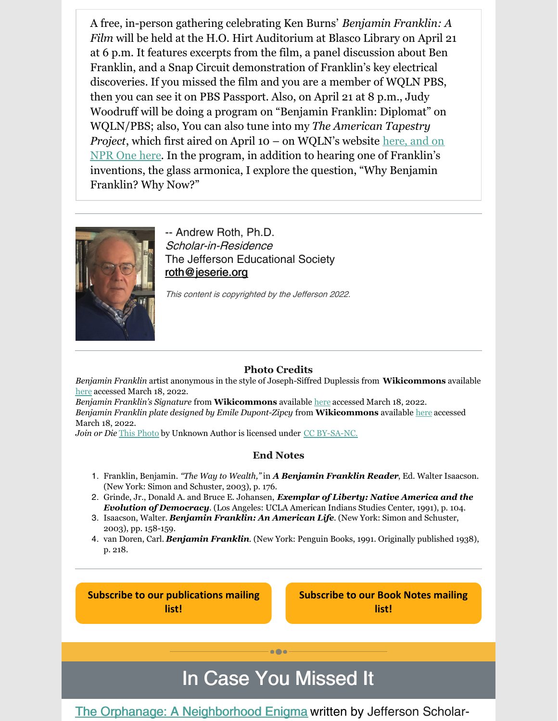A free, in-person gathering celebrating Ken Burns' *Benjamin Franklin: A Film* will be held at the H.O. Hirt Auditorium at Blasco Library on April 21 at 6 p.m. It features excerpts from the film, a panel discussion about Ben Franklin, and a Snap Circuit demonstration of Franklin's key electrical discoveries. If you missed the film and you are a member of WQLN PBS, then you can see it on PBS Passport. Also, on April 21 at 8 p.m., Judy Woodruff will be doing a program on "Benjamin Franklin: Diplomat" on WQLN/PBS; also, You can also tune into my *The American Tapestry Project*, which first aired on April 10 – on WQLN's website [here](https://www.wqln.org/Listen/Podcasts/The-American-Tapestry-Project), and on NPR One [here](https://www.npr.org/podcasts/910673300/the-american-tapestry-project). In the program, in addition to hearing one of Franklin's inventions, the glass armonica, I explore the question, "Why Benjamin Franklin? Why Now?"



-- Andrew Roth, Ph.D. Scholar-in-Residence The Jefferson Educational Society [roth@jeserie.org](mailto:roth@jeserie.org)

This content is copyrighted by the Jefferson 2022.

#### **Photo Credits**

*Benjamin Franklin* artist anonymous in the style of Joseph-Siffred Duplessis from **Wikicommons** available [here](https://commons.wikimedia.org/wiki/File:Benjamin_Franklin_by_Joseph_Siffrein_Duplessis.jpg) accessed March 18, 2022.

*Benjamin Franklin's Signature* from **Wikicommons** available [here](https://upload.wikimedia.org/wikipedia/commons/6/61/Benjamin_Franklin_signature.png) accessed March 18, 2022. *Benjamin Franklin plate designed by Emile Dupont-Zipcy* from **Wikicommons** available [here](https://commons.wikimedia.org/wiki/File:Benjamin_Franklin_MET_DP248285.jpg) accessed March 18, 2022.

*Join or Die* This [Photo](http://boingboing.net/2011/08/29/benjamin-franklins-famous-join-or-die-political-cartoon-offered-at-auction.html) by Unknown Author is licensed under CC [BY-SA-NC](https://creativecommons.org/licenses/by-nc-sa/3.0/).

#### **End Notes**

- 1. Franklin, Benjamin. *"The Way to Wealth,"* in *A Benjamin Franklin Reader*, Ed. Walter Isaacson. (New York: Simon and Schuster, 2003), p. 176.
- 2. Grinde, Jr., Donald A. and Bruce E. Johansen, *Exemplar of Liberty: Native America and the Evolution of Democracy*. (Los Angeles: UCLA American Indians Studies Center, 1991), p. 104.
- 3. Isaacson, Walter. *Benjamin Franklin: An American Life*. (New York: Simon and Schuster, 2003), pp. 158-159.
- 4. van Doren, Carl. *Benjamin Franklin*. (New York: Penguin Books, 1991. Originally published 1938), p. 218.

**Subscribe to our [publications](https://lp.constantcontactpages.com/su/OYSOPRt/PublicationsSubscription?source_id=565fc3ad-a30d-4274-a910-6d6a6f0a7ce4&source_type=em&c=) mailing list!**

**[Subscribe](https://lp.constantcontactpages.com/su/TXbaxH2/BookNotesSubscription?source_id=565fc3ad-a30d-4274-a910-6d6a6f0a7ce4&source_type=em&c=) to our Book Notes mailing list!**

## In Case You Missed It

 $\bullet$  $\bullet$ 

### The Orphanage: A [Neighborhood](https://conta.cc/3uyPghH) Enigma written by Jefferson Scholar-